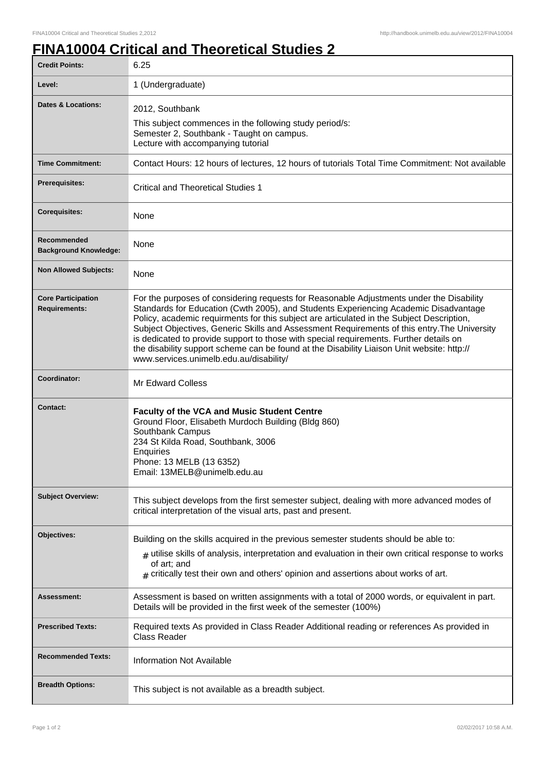## **FINA10004 Critical and Theoretical Studies 2**

| <b>Credit Points:</b>                             | 6.25                                                                                                                                                                                                                                                                                                                                                                                                                                                                                                                                                                                                             |
|---------------------------------------------------|------------------------------------------------------------------------------------------------------------------------------------------------------------------------------------------------------------------------------------------------------------------------------------------------------------------------------------------------------------------------------------------------------------------------------------------------------------------------------------------------------------------------------------------------------------------------------------------------------------------|
| Level:                                            | 1 (Undergraduate)                                                                                                                                                                                                                                                                                                                                                                                                                                                                                                                                                                                                |
| <b>Dates &amp; Locations:</b>                     | 2012, Southbank<br>This subject commences in the following study period/s:<br>Semester 2, Southbank - Taught on campus.<br>Lecture with accompanying tutorial                                                                                                                                                                                                                                                                                                                                                                                                                                                    |
| <b>Time Commitment:</b>                           | Contact Hours: 12 hours of lectures, 12 hours of tutorials Total Time Commitment: Not available                                                                                                                                                                                                                                                                                                                                                                                                                                                                                                                  |
| <b>Prerequisites:</b>                             | <b>Critical and Theoretical Studies 1</b>                                                                                                                                                                                                                                                                                                                                                                                                                                                                                                                                                                        |
| <b>Corequisites:</b>                              | None                                                                                                                                                                                                                                                                                                                                                                                                                                                                                                                                                                                                             |
| Recommended<br><b>Background Knowledge:</b>       | None                                                                                                                                                                                                                                                                                                                                                                                                                                                                                                                                                                                                             |
| <b>Non Allowed Subjects:</b>                      | None                                                                                                                                                                                                                                                                                                                                                                                                                                                                                                                                                                                                             |
| <b>Core Participation</b><br><b>Requirements:</b> | For the purposes of considering requests for Reasonable Adjustments under the Disability<br>Standards for Education (Cwth 2005), and Students Experiencing Academic Disadvantage<br>Policy, academic requirments for this subject are articulated in the Subject Description,<br>Subject Objectives, Generic Skills and Assessment Requirements of this entry. The University<br>is dedicated to provide support to those with special requirements. Further details on<br>the disability support scheme can be found at the Disability Liaison Unit website: http://<br>www.services.unimelb.edu.au/disability/ |
| Coordinator:                                      | Mr Edward Colless                                                                                                                                                                                                                                                                                                                                                                                                                                                                                                                                                                                                |
| <b>Contact:</b>                                   | <b>Faculty of the VCA and Music Student Centre</b><br>Ground Floor, Elisabeth Murdoch Building (Bldg 860)<br>Southbank Campus<br>234 St Kilda Road, Southbank, 3006<br>Enquiries<br>Phone: 13 MELB (13 6352)<br>Email: 13MELB@unimelb.edu.au                                                                                                                                                                                                                                                                                                                                                                     |
| <b>Subject Overview:</b>                          | This subject develops from the first semester subject, dealing with more advanced modes of<br>critical interpretation of the visual arts, past and present.                                                                                                                                                                                                                                                                                                                                                                                                                                                      |
| Objectives:                                       | Building on the skills acquired in the previous semester students should be able to:<br>$_{\#}$ utilise skills of analysis, interpretation and evaluation in their own critical response to works<br>of art; and<br>$*$ critically test their own and others' opinion and assertions about works of art.                                                                                                                                                                                                                                                                                                         |
| Assessment:                                       | Assessment is based on written assignments with a total of 2000 words, or equivalent in part.<br>Details will be provided in the first week of the semester (100%)                                                                                                                                                                                                                                                                                                                                                                                                                                               |
| <b>Prescribed Texts:</b>                          | Required texts As provided in Class Reader Additional reading or references As provided in<br><b>Class Reader</b>                                                                                                                                                                                                                                                                                                                                                                                                                                                                                                |
| <b>Recommended Texts:</b>                         | <b>Information Not Available</b>                                                                                                                                                                                                                                                                                                                                                                                                                                                                                                                                                                                 |
| <b>Breadth Options:</b>                           | This subject is not available as a breadth subject.                                                                                                                                                                                                                                                                                                                                                                                                                                                                                                                                                              |